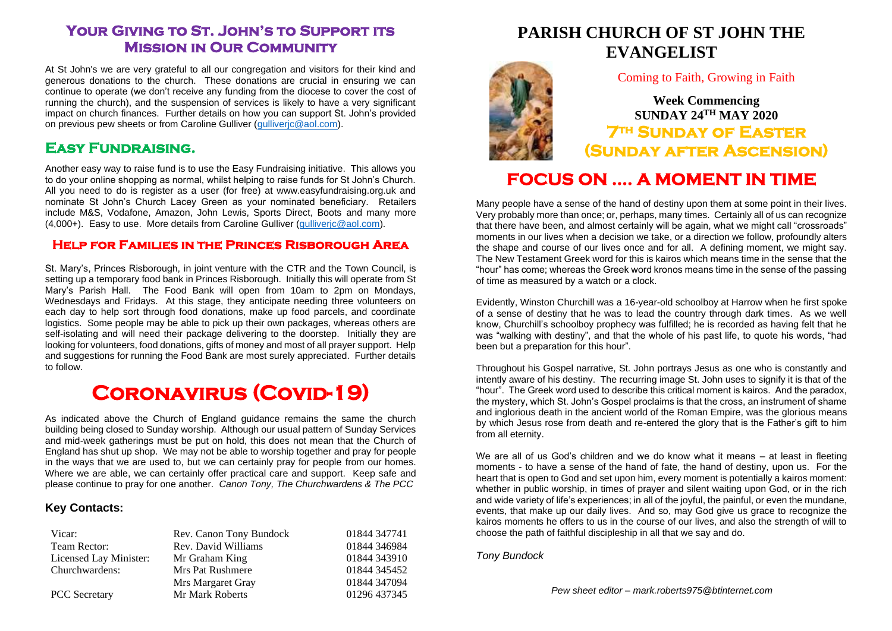### **Your Giving to St. John's to Support its Mission in Our Community**

At St John's we are very grateful to all our congregation and visitors for their kind and generous donations to the church. These donations are crucial in ensuring we can continue to operate (we don't receive any funding from the diocese to cover the cost of running the church), and the suspension of services is likely to have a very significant impact on church finances. Further details on how you can support St. John's provided on previous pew sheets or from Caroline Gulliver (gulliveric@aol.com).

### **Easy Fundraising.**

Another easy way to raise fund is to use the Easy Fundraising initiative. This allows you to do your online shopping as normal, whilst helping to raise funds for St John's Church. All you need to do is register as a user (for free) at www.easyfundraising.org.uk and nominate St John's Church Lacey Green as your nominated beneficiary. Retailers include M&S, Vodafone, Amazon, John Lewis, Sports Direct, Boots and many more (4,000+). Easy to use. More details from Caroline Gulliver [\(gulliverjc@aol.com\)](mailto:gulliverjc@aol.com).

### **Help for Families in the Princes Risborough Area**

St. Mary's, Princes Risborough, in joint venture with the CTR and the Town Council, is setting up a temporary food bank in Princes Risborough. Initially this will operate from St Mary's Parish Hall. The Food Bank will open from 10am to 2pm on Mondays, Wednesdays and Fridays. At this stage, they anticipate needing three volunteers on each day to help sort through food donations, make up food parcels, and coordinate logistics. Some people may be able to pick up their own packages, whereas others are self-isolating and will need their package delivering to the doorstep. Initially they are looking for volunteers, food donations, gifts of money and most of all prayer support. Help and suggestions for running the Food Bank are most surely appreciated. Further details to follow.

# **Coronavirus (Covid-19)**

As indicated above the Church of England guidance remains the same the church building being closed to Sunday worship. Although our usual pattern of Sunday Services and mid-week gatherings must be put on hold, this does not mean that the Church of England has shut up shop. We may not be able to worship together and pray for people in the ways that we are used to, but we can certainly pray for people from our homes. Where we are able, we can certainly offer practical care and support. Keep safe and please continue to pray for one another. *Canon Tony, The Churchwardens & The PCC*

#### **Key Contacts:**

| Vicar:                 | Rev. Canon Tony Bundock | 01844 347741 |
|------------------------|-------------------------|--------------|
| Team Rector:           | Rev. David Williams     | 01844 346984 |
| Licensed Lay Minister: | Mr Graham King          | 01844 343910 |
| Churchwardens:         | Mrs Pat Rushmere        | 01844 345452 |
|                        | Mrs Margaret Gray       | 01844 347094 |
| <b>PCC</b> Secretary   | Mr Mark Roberts         | 01296 437345 |

## **PARISH CHURCH OF ST JOHN THE EVANGELIST**

Coming to Faith, Growing in Faith

**Week Commencing SUNDAY 24TH MAY 2020 7th Sunday of Easter (Sunday after Ascension)** 

# **FOCUS ON …. A MOMENT IN TIME**

Many people have a sense of the hand of destiny upon them at some point in their lives. Very probably more than once; or, perhaps, many times. Certainly all of us can recognize that there have been, and almost certainly will be again, what we might call "crossroads" moments in our lives when a decision we take, or a direction we follow, profoundly alters the shape and course of our lives once and for all. A defining moment, we might say. The New Testament Greek word for this is kairos which means time in the sense that the "hour" has come; whereas the Greek word kronos means time in the sense of the passing of time as measured by a watch or a clock.

Evidently, Winston Churchill was a 16-year-old schoolboy at Harrow when he first spoke of a sense of destiny that he was to lead the country through dark times. As we well know, Churchill's schoolboy prophecy was fulfilled; he is recorded as having felt that he was "walking with destiny", and that the whole of his past life, to quote his words, "had been but a preparation for this hour".

Throughout his Gospel narrative, St. John portrays Jesus as one who is constantly and intently aware of his destiny. The recurring image St. John uses to signify it is that of the "hour". The Greek word used to describe this critical moment is kairos. And the paradox, the mystery, which St. John's Gospel proclaims is that the cross, an instrument of shame and inglorious death in the ancient world of the Roman Empire, was the glorious means by which Jesus rose from death and re-entered the glory that is the Father's gift to him from all eternity.

We are all of us God's children and we do know what it means – at least in fleeting moments - to have a sense of the hand of fate, the hand of destiny, upon us. For the heart that is open to God and set upon him, every moment is potentially a kairos moment: whether in public worship, in times of prayer and silent waiting upon God, or in the rich and wide variety of life's experiences; in all of the joyful, the painful, or even the mundane, events, that make up our daily lives. And so, may God give us grace to recognize the kairos moments he offers to us in the course of our lives, and also the strength of will to choose the path of faithful discipleship in all that we say and do.

*Tony Bundock*